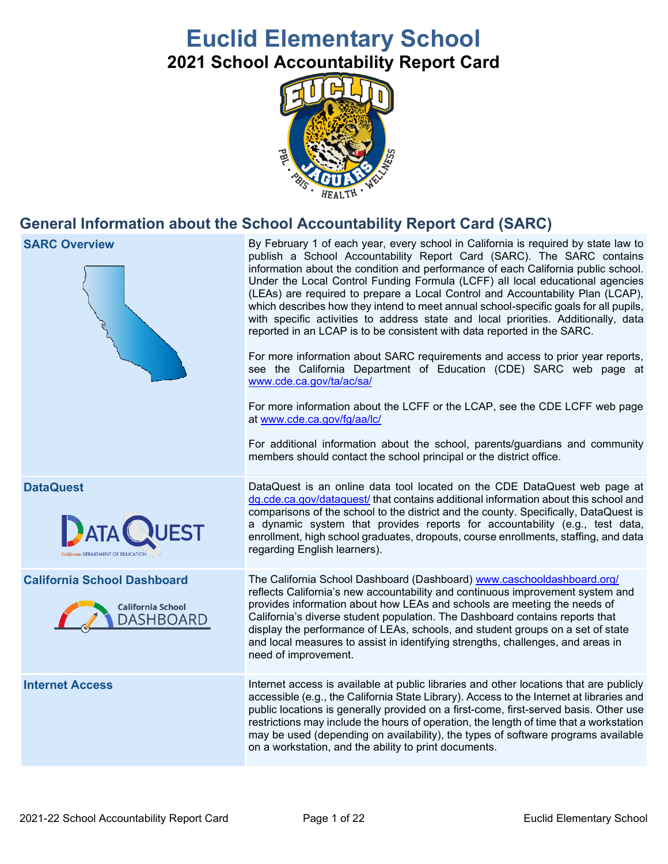# **Euclid Elementary School 2021 School Accountability Report Card**



# **General Information about the School Accountability Report Card (SARC)**

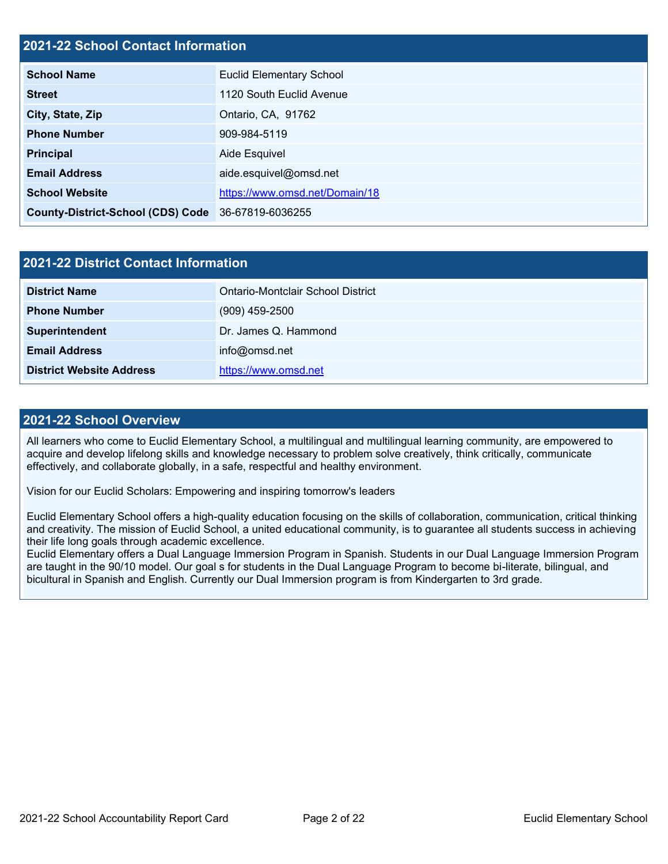## **2021-22 School Contact Information**

| <b>School Name</b>                                 | <b>Euclid Elementary School</b> |  |  |  |
|----------------------------------------------------|---------------------------------|--|--|--|
| <b>Street</b>                                      | 1120 South Euclid Avenue        |  |  |  |
| City, State, Zip                                   | Ontario, CA, 91762              |  |  |  |
| <b>Phone Number</b>                                | 909-984-5119                    |  |  |  |
| <b>Principal</b>                                   | Aide Esquivel                   |  |  |  |
| <b>Email Address</b>                               | aide.esquivel@omsd.net          |  |  |  |
| <b>School Website</b>                              | https://www.omsd.net/Domain/18  |  |  |  |
| County-District-School (CDS) Code 36-67819-6036255 |                                 |  |  |  |

| 2021-22 District Contact Information |                                   |  |  |  |
|--------------------------------------|-----------------------------------|--|--|--|
| <b>District Name</b>                 | Ontario-Montclair School District |  |  |  |
| <b>Phone Number</b>                  | $(909)$ 459-2500                  |  |  |  |
| Superintendent                       | Dr. James Q. Hammond              |  |  |  |
| <b>Email Address</b>                 | info@omsd.net                     |  |  |  |
| <b>District Website Address</b>      | https://www.omsd.net              |  |  |  |

### **2021-22 School Overview**

All learners who come to Euclid Elementary School, a multilingual and multilingual learning community, are empowered to acquire and develop lifelong skills and knowledge necessary to problem solve creatively, think critically, communicate effectively, and collaborate globally, in a safe, respectful and healthy environment.

Vision for our Euclid Scholars: Empowering and inspiring tomorrow's leaders

Euclid Elementary School offers a high-quality education focusing on the skills of collaboration, communication, critical thinking and creativity. The mission of Euclid School, a united educational community, is to guarantee all students success in achieving their life long goals through academic excellence.

Euclid Elementary offers a Dual Language Immersion Program in Spanish. Students in our Dual Language Immersion Program are taught in the 90/10 model. Our goal s for students in the Dual Language Program to become bi-literate, bilingual, and bicultural in Spanish and English. Currently our Dual Immersion program is from Kindergarten to 3rd grade.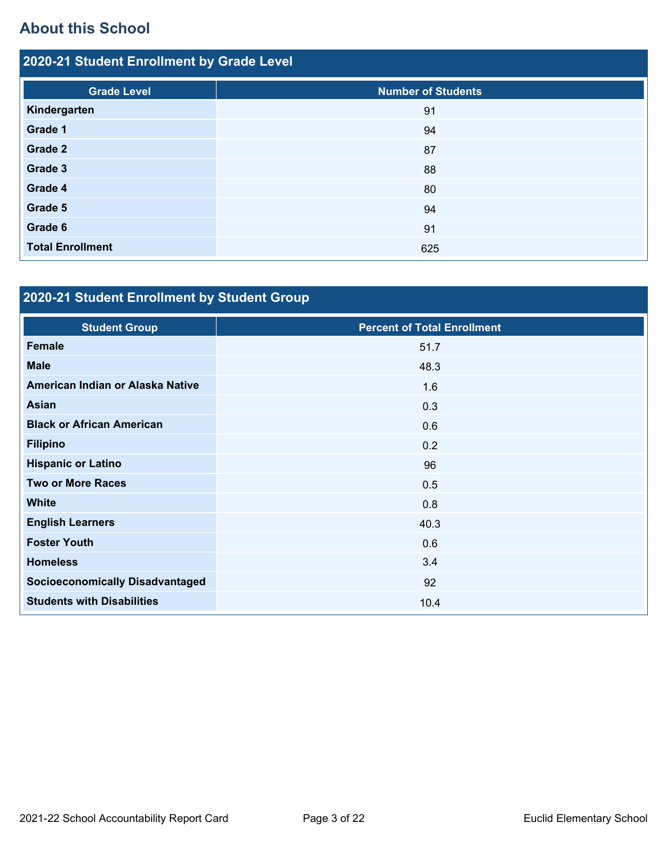# **About this School**

| 2020-21 Student Enrollment by Grade Level |                           |  |  |  |  |
|-------------------------------------------|---------------------------|--|--|--|--|
| <b>Grade Level</b>                        | <b>Number of Students</b> |  |  |  |  |
| Kindergarten                              | 91                        |  |  |  |  |
| Grade 1                                   | 94                        |  |  |  |  |
| Grade 2                                   | 87                        |  |  |  |  |
| Grade 3                                   | 88                        |  |  |  |  |
| Grade 4                                   | 80                        |  |  |  |  |
| Grade 5                                   | 94                        |  |  |  |  |
| Grade 6                                   | 91                        |  |  |  |  |
| <b>Total Enrollment</b>                   | 625                       |  |  |  |  |

# **2020-21 Student Enrollment by Student Group**

| <b>Student Group</b>                   | <b>Percent of Total Enrollment</b> |
|----------------------------------------|------------------------------------|
| <b>Female</b>                          | 51.7                               |
| <b>Male</b>                            | 48.3                               |
| American Indian or Alaska Native       | 1.6                                |
| Asian                                  | 0.3                                |
| <b>Black or African American</b>       | 0.6                                |
| <b>Filipino</b>                        | 0.2                                |
| <b>Hispanic or Latino</b>              | 96                                 |
| <b>Two or More Races</b>               | 0.5                                |
| <b>White</b>                           | 0.8                                |
| <b>English Learners</b>                | 40.3                               |
| <b>Foster Youth</b>                    | 0.6                                |
| <b>Homeless</b>                        | 3.4                                |
| <b>Socioeconomically Disadvantaged</b> | 92                                 |
| <b>Students with Disabilities</b>      | 10.4                               |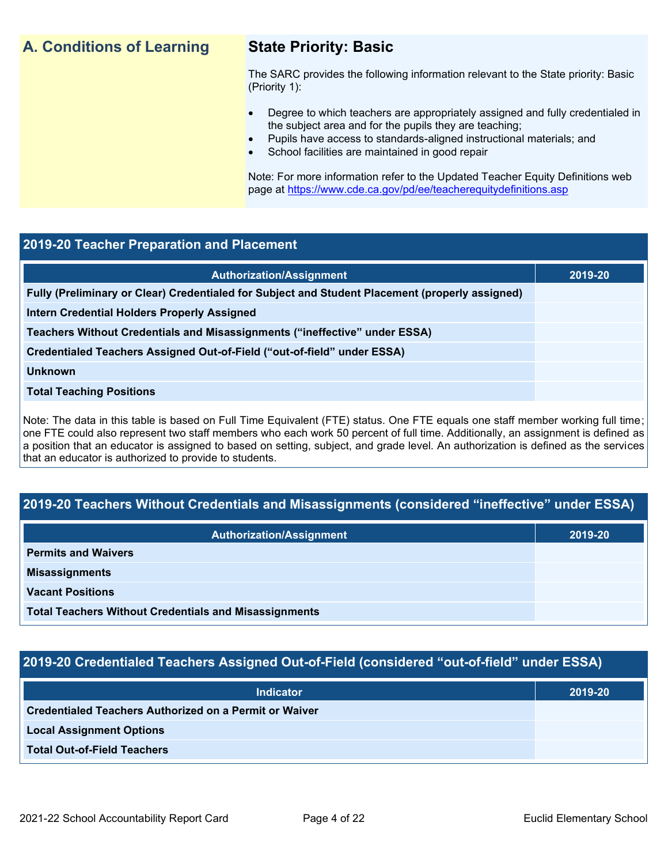# **A. Conditions of Learning State Priority: Basic**

The SARC provides the following information relevant to the State priority: Basic (Priority 1):

- Degree to which teachers are appropriately assigned and fully credentialed in the subject area and for the pupils they are teaching;
	- Pupils have access to standards-aligned instructional materials; and
- School facilities are maintained in good repair

Note: For more information refer to the Updated Teacher Equity Definitions web page at<https://www.cde.ca.gov/pd/ee/teacherequitydefinitions.asp>

### **2019-20 Teacher Preparation and Placement**

| <b>Authorization/Assignment</b>                                                                 | 2019-20 |
|-------------------------------------------------------------------------------------------------|---------|
| Fully (Preliminary or Clear) Credentialed for Subject and Student Placement (properly assigned) |         |
| <b>Intern Credential Holders Properly Assigned</b>                                              |         |
| Teachers Without Credentials and Misassignments ("ineffective" under ESSA)                      |         |
| Credentialed Teachers Assigned Out-of-Field ("out-of-field" under ESSA)                         |         |
| <b>Unknown</b>                                                                                  |         |
| <b>Total Teaching Positions</b>                                                                 |         |
|                                                                                                 |         |

Note: The data in this table is based on Full Time Equivalent (FTE) status. One FTE equals one staff member working full time; one FTE could also represent two staff members who each work 50 percent of full time. Additionally, an assignment is defined as a position that an educator is assigned to based on setting, subject, and grade level. An authorization is defined as the services that an educator is authorized to provide to students.

# **2019-20 Teachers Without Credentials and Misassignments (considered "ineffective" under ESSA)**

| <b>Authorization/Assignment</b>                              | 2019-20 |  |
|--------------------------------------------------------------|---------|--|
| <b>Permits and Waivers</b>                                   |         |  |
| <b>Misassignments</b>                                        |         |  |
| <b>Vacant Positions</b>                                      |         |  |
| <b>Total Teachers Without Credentials and Misassignments</b> |         |  |

# **2019-20 Credentialed Teachers Assigned Out-of-Field (considered "out-of-field" under ESSA)**

| <b>Indicator</b>                                       | 2019-20 |
|--------------------------------------------------------|---------|
| Credentialed Teachers Authorized on a Permit or Waiver |         |
| <b>Local Assignment Options</b>                        |         |
| <b>Total Out-of-Field Teachers</b>                     |         |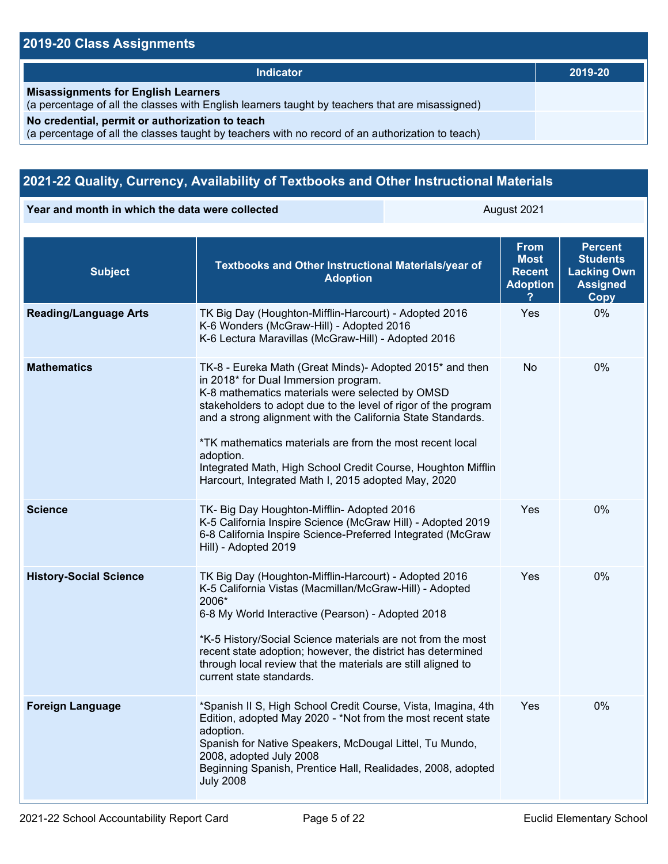# **2019-20 Class Assignments**

| <b>Indicator</b>                                                                                                                                    | 2019-20 |
|-----------------------------------------------------------------------------------------------------------------------------------------------------|---------|
| <b>Misassignments for English Learners</b><br>(a percentage of all the classes with English learners taught by teachers that are misassigned)       |         |
| No credential, permit or authorization to teach<br>(a percentage of all the classes taught by teachers with no record of an authorization to teach) |         |

# **2021-22 Quality, Currency, Availability of Textbooks and Other Instructional Materials**

**Year and month in which the data were collected August 2021** August 2021

| <b>Subject</b>                | Textbooks and Other Instructional Materials/year of<br><b>Adoption</b>                                                                                                                                                                                                                                                                                                                                                                                                               | <b>From</b><br><b>Most</b><br><b>Recent</b><br><b>Adoption</b> | <b>Percent</b><br><b>Students</b><br><b>Lacking Own</b><br><b>Assigned</b><br><b>Copy</b> |
|-------------------------------|--------------------------------------------------------------------------------------------------------------------------------------------------------------------------------------------------------------------------------------------------------------------------------------------------------------------------------------------------------------------------------------------------------------------------------------------------------------------------------------|----------------------------------------------------------------|-------------------------------------------------------------------------------------------|
| <b>Reading/Language Arts</b>  | TK Big Day (Houghton-Mifflin-Harcourt) - Adopted 2016<br>K-6 Wonders (McGraw-Hill) - Adopted 2016<br>K-6 Lectura Maravillas (McGraw-Hill) - Adopted 2016                                                                                                                                                                                                                                                                                                                             | Yes                                                            | 0%                                                                                        |
| <b>Mathematics</b>            | TK-8 - Eureka Math (Great Minds)- Adopted 2015* and then<br>in 2018* for Dual Immersion program.<br>K-8 mathematics materials were selected by OMSD<br>stakeholders to adopt due to the level of rigor of the program<br>and a strong alignment with the California State Standards.<br>*TK mathematics materials are from the most recent local<br>adoption.<br>Integrated Math, High School Credit Course, Houghton Mifflin<br>Harcourt, Integrated Math I, 2015 adopted May, 2020 | No.                                                            | 0%                                                                                        |
| <b>Science</b>                | TK- Big Day Houghton-Mifflin- Adopted 2016<br>K-5 California Inspire Science (McGraw Hill) - Adopted 2019<br>6-8 California Inspire Science-Preferred Integrated (McGraw<br>Hill) - Adopted 2019                                                                                                                                                                                                                                                                                     | Yes                                                            | 0%                                                                                        |
| <b>History-Social Science</b> | TK Big Day (Houghton-Mifflin-Harcourt) - Adopted 2016<br>K-5 California Vistas (Macmillan/McGraw-Hill) - Adopted<br>2006*<br>6-8 My World Interactive (Pearson) - Adopted 2018<br>*K-5 History/Social Science materials are not from the most<br>recent state adoption; however, the district has determined<br>through local review that the materials are still aligned to<br>current state standards.                                                                             | Yes                                                            | 0%                                                                                        |
| <b>Foreign Language</b>       | *Spanish II S, High School Credit Course, Vista, Imagina, 4th<br>Edition, adopted May 2020 - *Not from the most recent state<br>adoption.<br>Spanish for Native Speakers, McDougal Littel, Tu Mundo,<br>2008, adopted July 2008<br>Beginning Spanish, Prentice Hall, Realidades, 2008, adopted<br><b>July 2008</b>                                                                                                                                                                   | Yes                                                            | 0%                                                                                        |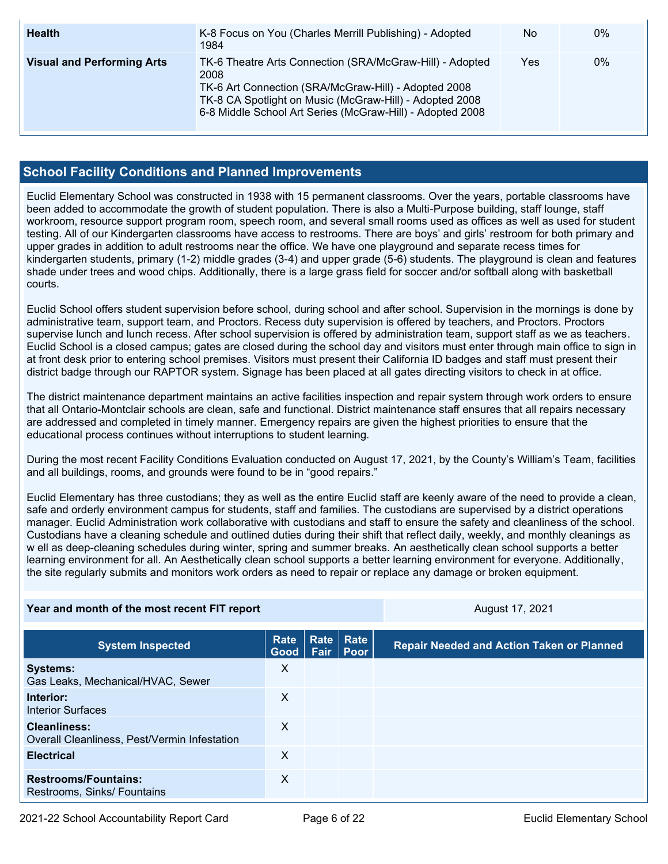| <b>Health</b>                     | K-8 Focus on You (Charles Merrill Publishing) - Adopted<br>1984                                                                                                                                                                                  | No  | $0\%$ |
|-----------------------------------|--------------------------------------------------------------------------------------------------------------------------------------------------------------------------------------------------------------------------------------------------|-----|-------|
| <b>Visual and Performing Arts</b> | TK-6 Theatre Arts Connection (SRA/McGraw-Hill) - Adopted<br>2008<br>TK-6 Art Connection (SRA/McGraw-Hill) - Adopted 2008<br>TK-8 CA Spotlight on Music (McGraw-Hill) - Adopted 2008<br>6-8 Middle School Art Series (McGraw-Hill) - Adopted 2008 | Yes | 0%    |

# **School Facility Conditions and Planned Improvements**

Euclid Elementary School was constructed in 1938 with 15 permanent classrooms. Over the years, portable classrooms have been added to accommodate the growth of student population. There is also a Multi-Purpose building, staff lounge, staff workroom, resource support program room, speech room, and several small rooms used as offices as well as used for student testing. All of our Kindergarten classrooms have access to restrooms. There are boys' and girls' restroom for both primary and upper grades in addition to adult restrooms near the office. We have one playground and separate recess times for kindergarten students, primary (1-2) middle grades (3-4) and upper grade (5-6) students. The playground is clean and features shade under trees and wood chips. Additionally, there is a large grass field for soccer and/or softball along with basketball courts.

Euclid School offers student supervision before school, during school and after school. Supervision in the mornings is done by administrative team, support team, and Proctors. Recess duty supervision is offered by teachers, and Proctors. Proctors supervise lunch and lunch recess. After school supervision is offered by administration team, support staff as we as teachers. Euclid School is a closed campus; gates are closed during the school day and visitors must enter through main office to sign in at front desk prior to entering school premises. Visitors must present their California ID badges and staff must present their district badge through our RAPTOR system. Signage has been placed at all gates directing visitors to check in at office.

The district maintenance department maintains an active facilities inspection and repair system through work orders to ensure that all Ontario-Montclair schools are clean, safe and functional. District maintenance staff ensures that all repairs necessary are addressed and completed in timely manner. Emergency repairs are given the highest priorities to ensure that the educational process continues without interruptions to student learning.

During the most recent Facility Conditions Evaluation conducted on August 17, 2021, by the County's William's Team, facilities and all buildings, rooms, and grounds were found to be in "good repairs."

Euclid Elementary has three custodians; they as well as the entire Euclid staff are keenly aware of the need to provide a clean, safe and orderly environment campus for students, staff and families. The custodians are supervised by a district operations manager. Euclid Administration work collaborative with custodians and staff to ensure the safety and cleanliness of the school. Custodians have a cleaning schedule and outlined duties during their shift that reflect daily, weekly, and monthly cleanings as w ell as deep-cleaning schedules during winter, spring and summer breaks. An aesthetically clean school supports a better learning environment for all. An Aesthetically clean school supports a better learning environment for everyone. Additionally, the site regularly submits and monitors work orders as need to repair or replace any damage or broken equipment.

| Year and month of the most recent FIT report                        |                     |             |                          | August 17, 2021                                  |
|---------------------------------------------------------------------|---------------------|-------------|--------------------------|--------------------------------------------------|
| <b>System Inspected</b>                                             | <b>Rate</b><br>Good | <b>Fair</b> | <b>Rate Rate</b><br>Poor | <b>Repair Needed and Action Taken or Planned</b> |
| <b>Systems:</b><br>Gas Leaks, Mechanical/HVAC, Sewer                | X                   |             |                          |                                                  |
| Interior:<br><b>Interior Surfaces</b>                               | X                   |             |                          |                                                  |
| <b>Cleanliness:</b><br>Overall Cleanliness, Pest/Vermin Infestation | X                   |             |                          |                                                  |
| <b>Electrical</b>                                                   | X                   |             |                          |                                                  |
| <b>Restrooms/Fountains:</b><br>Restrooms, Sinks/ Fountains          | X                   |             |                          |                                                  |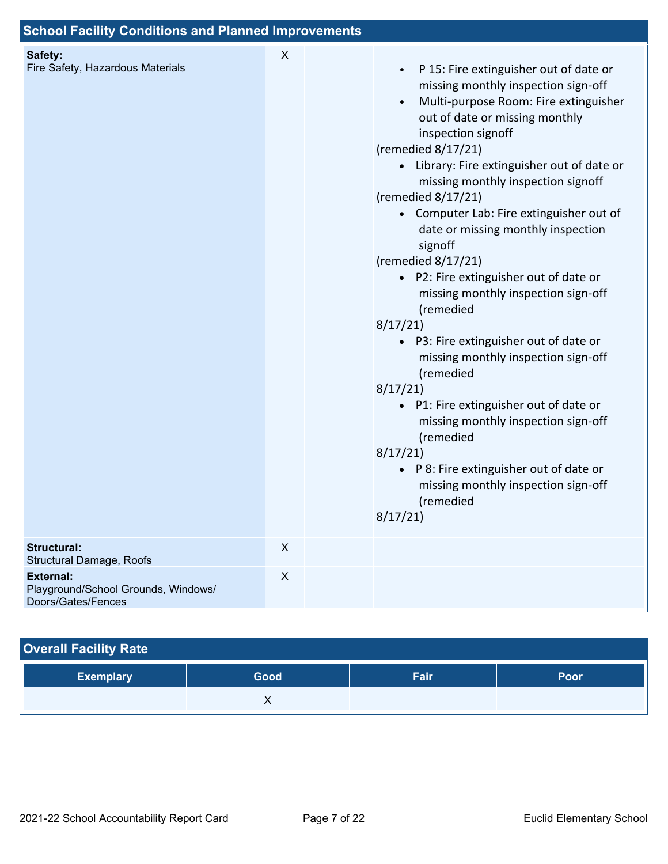| <b>School Facility Conditions and Planned Improvements</b>                    |              |  |  |                                                                                                                                                                                                                                                                                                                                                                                                                                                                                                                                                                                                                                                                                                                                                                                                                                                                                                      |
|-------------------------------------------------------------------------------|--------------|--|--|------------------------------------------------------------------------------------------------------------------------------------------------------------------------------------------------------------------------------------------------------------------------------------------------------------------------------------------------------------------------------------------------------------------------------------------------------------------------------------------------------------------------------------------------------------------------------------------------------------------------------------------------------------------------------------------------------------------------------------------------------------------------------------------------------------------------------------------------------------------------------------------------------|
| Safety:<br>Fire Safety, Hazardous Materials                                   | X            |  |  | P 15: Fire extinguisher out of date or<br>$\bullet$<br>missing monthly inspection sign-off<br>Multi-purpose Room: Fire extinguisher<br>$\bullet$<br>out of date or missing monthly<br>inspection signoff<br>(remedied $8/17/21$ )<br>• Library: Fire extinguisher out of date or<br>missing monthly inspection signoff<br>(remedied 8/17/21)<br>• Computer Lab: Fire extinguisher out of<br>date or missing monthly inspection<br>signoff<br>(remedied 8/17/21)<br>• P2: Fire extinguisher out of date or<br>missing monthly inspection sign-off<br>(remedied<br>8/17/21<br>• P3: Fire extinguisher out of date or<br>missing monthly inspection sign-off<br>(remedied<br>8/17/21<br>• P1: Fire extinguisher out of date or<br>missing monthly inspection sign-off<br>(remedied<br>8/17/21<br>• P 8: Fire extinguisher out of date or<br>missing monthly inspection sign-off<br>(remedied<br>8/17/21 |
| <b>Structural:</b><br>Structural Damage, Roofs                                | $\mathsf{X}$ |  |  |                                                                                                                                                                                                                                                                                                                                                                                                                                                                                                                                                                                                                                                                                                                                                                                                                                                                                                      |
| <b>External:</b><br>Playground/School Grounds, Windows/<br>Doors/Gates/Fences | X            |  |  |                                                                                                                                                                                                                                                                                                                                                                                                                                                                                                                                                                                                                                                                                                                                                                                                                                                                                                      |

### **Overall Facility Rate**

| ∣ Exemplary <sup>∣</sup> | Good    | Fair | Poor |
|--------------------------|---------|------|------|
|                          | $\cdot$ |      |      |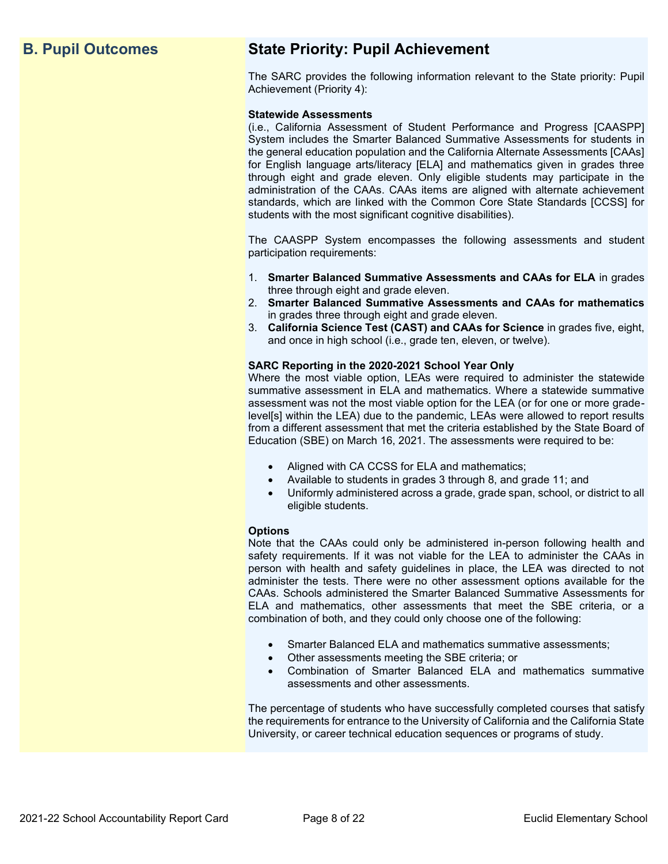# **B. Pupil Outcomes State Priority: Pupil Achievement**

The SARC provides the following information relevant to the State priority: Pupil Achievement (Priority 4):

### **Statewide Assessments**

(i.e., California Assessment of Student Performance and Progress [CAASPP] System includes the Smarter Balanced Summative Assessments for students in the general education population and the California Alternate Assessments [CAAs] for English language arts/literacy [ELA] and mathematics given in grades three through eight and grade eleven. Only eligible students may participate in the administration of the CAAs. CAAs items are aligned with alternate achievement standards, which are linked with the Common Core State Standards [CCSS] for students with the most significant cognitive disabilities).

The CAASPP System encompasses the following assessments and student participation requirements:

- 1. **Smarter Balanced Summative Assessments and CAAs for ELA** in grades three through eight and grade eleven.
- 2. **Smarter Balanced Summative Assessments and CAAs for mathematics** in grades three through eight and grade eleven.
- 3. **California Science Test (CAST) and CAAs for Science** in grades five, eight, and once in high school (i.e., grade ten, eleven, or twelve).

### **SARC Reporting in the 2020-2021 School Year Only**

Where the most viable option, LEAs were required to administer the statewide summative assessment in ELA and mathematics. Where a statewide summative assessment was not the most viable option for the LEA (or for one or more gradelevel[s] within the LEA) due to the pandemic, LEAs were allowed to report results from a different assessment that met the criteria established by the State Board of Education (SBE) on March 16, 2021. The assessments were required to be:

- Aligned with CA CCSS for ELA and mathematics;
- Available to students in grades 3 through 8, and grade 11; and
- Uniformly administered across a grade, grade span, school, or district to all eligible students.

### **Options**

Note that the CAAs could only be administered in-person following health and safety requirements. If it was not viable for the LEA to administer the CAAs in person with health and safety guidelines in place, the LEA was directed to not administer the tests. There were no other assessment options available for the CAAs. Schools administered the Smarter Balanced Summative Assessments for ELA and mathematics, other assessments that meet the SBE criteria, or a combination of both, and they could only choose one of the following:

- Smarter Balanced ELA and mathematics summative assessments;
- Other assessments meeting the SBE criteria; or
- Combination of Smarter Balanced ELA and mathematics summative assessments and other assessments.

The percentage of students who have successfully completed courses that satisfy the requirements for entrance to the University of California and the California State University, or career technical education sequences or programs of study.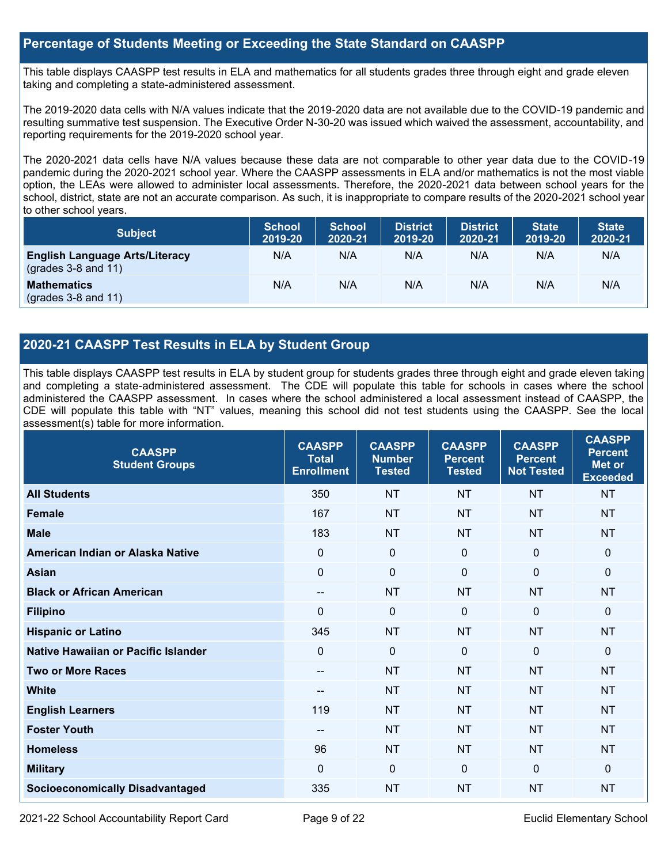## **Percentage of Students Meeting or Exceeding the State Standard on CAASPP**

This table displays CAASPP test results in ELA and mathematics for all students grades three through eight and grade eleven taking and completing a state-administered assessment.

The 2019-2020 data cells with N/A values indicate that the 2019-2020 data are not available due to the COVID-19 pandemic and resulting summative test suspension. The Executive Order N-30-20 was issued which waived the assessment, accountability, and reporting requirements for the 2019-2020 school year.

The 2020-2021 data cells have N/A values because these data are not comparable to other year data due to the COVID-19 pandemic during the 2020-2021 school year. Where the CAASPP assessments in ELA and/or mathematics is not the most viable option, the LEAs were allowed to administer local assessments. Therefore, the 2020-2021 data between school years for the school, district, state are not an accurate comparison. As such, it is inappropriate to compare results of the 2020-2021 school year to other school years.

| <b>Subject</b>                                                       | <b>School</b><br>2019-20 | <b>School</b><br>2020-21 | <b>District</b><br>2019-20 | <b>District</b><br>2020-21 | <b>State</b><br>2019-20 | <b>State</b><br>2020-21 |
|----------------------------------------------------------------------|--------------------------|--------------------------|----------------------------|----------------------------|-------------------------|-------------------------|
| <b>English Language Arts/Literacy</b><br>$\left($ grades 3-8 and 11) | N/A                      | N/A                      | N/A                        | N/A                        | N/A                     | N/A                     |
| <b>Mathematics</b><br>$(grades 3-8 and 11)$                          | N/A                      | N/A                      | N/A                        | N/A                        | N/A                     | N/A                     |

# **2020-21 CAASPP Test Results in ELA by Student Group**

This table displays CAASPP test results in ELA by student group for students grades three through eight and grade eleven taking and completing a state-administered assessment. The CDE will populate this table for schools in cases where the school administered the CAASPP assessment. In cases where the school administered a local assessment instead of CAASPP, the CDE will populate this table with "NT" values, meaning this school did not test students using the CAASPP. See the local assessment(s) table for more information.

| <b>CAASPP</b><br><b>Student Groups</b> | <b>CAASPP</b><br><b>Total</b><br><b>Enrollment</b> | <b>CAASPP</b><br><b>Number</b><br><b>Tested</b> | <b>CAASPP</b><br><b>Percent</b><br><b>Tested</b> | <b>CAASPP</b><br><b>Percent</b><br><b>Not Tested</b> | <b>CAASPP</b><br><b>Percent</b><br>Met or<br><b>Exceeded</b> |
|----------------------------------------|----------------------------------------------------|-------------------------------------------------|--------------------------------------------------|------------------------------------------------------|--------------------------------------------------------------|
| <b>All Students</b>                    | 350                                                | <b>NT</b>                                       | <b>NT</b>                                        | <b>NT</b>                                            | <b>NT</b>                                                    |
| <b>Female</b>                          | 167                                                | <b>NT</b>                                       | <b>NT</b>                                        | <b>NT</b>                                            | <b>NT</b>                                                    |
| <b>Male</b>                            | 183                                                | <b>NT</b>                                       | <b>NT</b>                                        | <b>NT</b>                                            | <b>NT</b>                                                    |
| American Indian or Alaska Native       | $\mathbf{0}$                                       | $\mathbf 0$                                     | $\mathbf{0}$                                     | $\mathbf 0$                                          | 0                                                            |
| <b>Asian</b>                           | $\overline{0}$                                     | $\mathbf 0$                                     | $\mathbf{0}$                                     | $\overline{0}$                                       | 0                                                            |
| <b>Black or African American</b>       | --                                                 | <b>NT</b>                                       | <b>NT</b>                                        | <b>NT</b>                                            | <b>NT</b>                                                    |
| <b>Filipino</b>                        | $\mathbf{0}$                                       | $\mathbf 0$                                     | $\Omega$                                         | $\overline{0}$                                       | 0                                                            |
| <b>Hispanic or Latino</b>              | 345                                                | <b>NT</b>                                       | <b>NT</b>                                        | <b>NT</b>                                            | <b>NT</b>                                                    |
| Native Hawaiian or Pacific Islander    | $\mathbf{0}$                                       | $\mathbf 0$                                     | $\mathbf 0$                                      | $\mathbf 0$                                          | 0                                                            |
| <b>Two or More Races</b>               | --                                                 | <b>NT</b>                                       | <b>NT</b>                                        | <b>NT</b>                                            | <b>NT</b>                                                    |
| <b>White</b>                           | --                                                 | <b>NT</b>                                       | <b>NT</b>                                        | <b>NT</b>                                            | <b>NT</b>                                                    |
| <b>English Learners</b>                | 119                                                | <b>NT</b>                                       | <b>NT</b>                                        | <b>NT</b>                                            | <b>NT</b>                                                    |
| <b>Foster Youth</b>                    | --                                                 | <b>NT</b>                                       | <b>NT</b>                                        | <b>NT</b>                                            | NT                                                           |
| <b>Homeless</b>                        | 96                                                 | <b>NT</b>                                       | <b>NT</b>                                        | <b>NT</b>                                            | <b>NT</b>                                                    |
| <b>Military</b>                        | $\mathbf{0}$                                       | $\mathbf 0$                                     | $\mathbf 0$                                      | $\Omega$                                             | $\mathbf{0}$                                                 |
| <b>Socioeconomically Disadvantaged</b> | 335                                                | <b>NT</b>                                       | <b>NT</b>                                        | <b>NT</b>                                            | <b>NT</b>                                                    |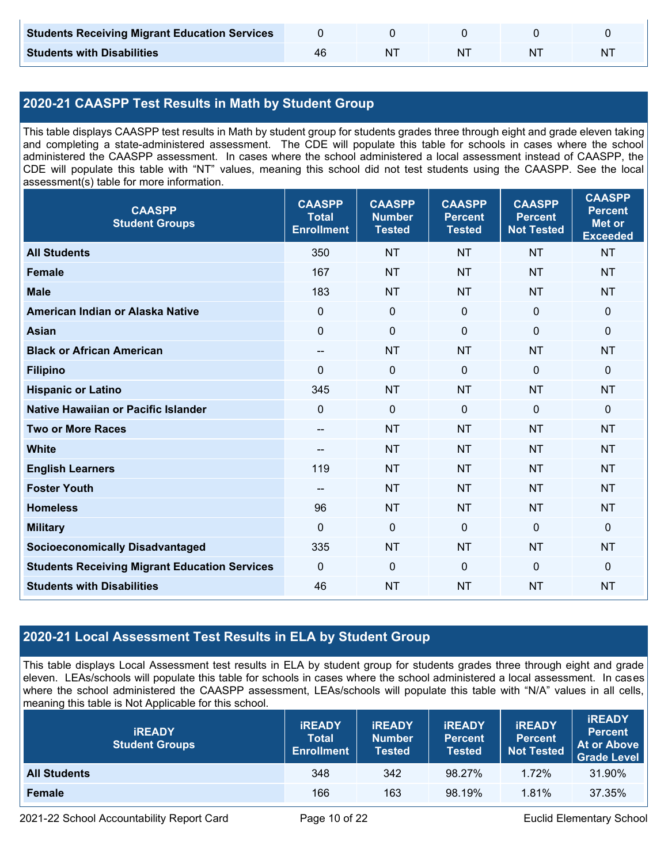| <b>Students Receiving Migrant Education Services</b> |     |  |   |
|------------------------------------------------------|-----|--|---|
| <b>Students with Disabilities</b>                    | -N7 |  | N |

# **2020-21 CAASPP Test Results in Math by Student Group**

This table displays CAASPP test results in Math by student group for students grades three through eight and grade eleven taking and completing a state-administered assessment. The CDE will populate this table for schools in cases where the school administered the CAASPP assessment. In cases where the school administered a local assessment instead of CAASPP, the CDE will populate this table with "NT" values, meaning this school did not test students using the CAASPP. See the local assessment(s) table for more information.

| <b>CAASPP</b><br><b>Student Groups</b>               | <b>CAASPP</b><br><b>Total</b><br><b>Enrollment</b> | <b>CAASPP</b><br><b>Number</b><br><b>Tested</b> | <b>CAASPP</b><br><b>Percent</b><br><b>Tested</b> | <b>CAASPP</b><br><b>Percent</b><br><b>Not Tested</b> | <b>CAASPP</b><br><b>Percent</b><br><b>Met or</b><br><b>Exceeded</b> |
|------------------------------------------------------|----------------------------------------------------|-------------------------------------------------|--------------------------------------------------|------------------------------------------------------|---------------------------------------------------------------------|
| <b>All Students</b>                                  | 350                                                | <b>NT</b>                                       | <b>NT</b>                                        | <b>NT</b>                                            | <b>NT</b>                                                           |
| <b>Female</b>                                        | 167                                                | <b>NT</b>                                       | <b>NT</b>                                        | <b>NT</b>                                            | <b>NT</b>                                                           |
| <b>Male</b>                                          | 183                                                | <b>NT</b>                                       | <b>NT</b>                                        | <b>NT</b>                                            | <b>NT</b>                                                           |
| American Indian or Alaska Native                     | $\mathbf 0$                                        | $\mathbf 0$                                     | $\mathbf 0$                                      | $\mathbf 0$                                          | $\mathbf 0$                                                         |
| <b>Asian</b>                                         | $\mathbf 0$                                        | $\mathbf 0$                                     | $\mathbf{0}$                                     | 0                                                    | 0                                                                   |
| <b>Black or African American</b>                     | $- -$                                              | <b>NT</b>                                       | <b>NT</b>                                        | <b>NT</b>                                            | <b>NT</b>                                                           |
| <b>Filipino</b>                                      | $\Omega$                                           | $\mathbf 0$                                     | $\mathbf 0$                                      | $\mathbf 0$                                          | 0                                                                   |
| <b>Hispanic or Latino</b>                            | 345                                                | <b>NT</b>                                       | <b>NT</b>                                        | <b>NT</b>                                            | <b>NT</b>                                                           |
| <b>Native Hawaiian or Pacific Islander</b>           | $\mathbf 0$                                        | $\mathbf 0$                                     | $\mathbf 0$                                      | $\mathbf 0$                                          | 0                                                                   |
| <b>Two or More Races</b>                             | $\qquad \qquad -$                                  | <b>NT</b>                                       | <b>NT</b>                                        | <b>NT</b>                                            | <b>NT</b>                                                           |
| <b>White</b>                                         | $\qquad \qquad -$                                  | <b>NT</b>                                       | <b>NT</b>                                        | <b>NT</b>                                            | <b>NT</b>                                                           |
| <b>English Learners</b>                              | 119                                                | <b>NT</b>                                       | <b>NT</b>                                        | <b>NT</b>                                            | <b>NT</b>                                                           |
| <b>Foster Youth</b>                                  | $\overline{\phantom{a}}$                           | <b>NT</b>                                       | <b>NT</b>                                        | <b>NT</b>                                            | <b>NT</b>                                                           |
| <b>Homeless</b>                                      | 96                                                 | <b>NT</b>                                       | <b>NT</b>                                        | <b>NT</b>                                            | <b>NT</b>                                                           |
| <b>Military</b>                                      | $\mathbf{0}$                                       | $\mathbf 0$                                     | $\mathbf 0$                                      | $\mathbf 0$                                          | 0                                                                   |
| <b>Socioeconomically Disadvantaged</b>               | 335                                                | <b>NT</b>                                       | <b>NT</b>                                        | <b>NT</b>                                            | <b>NT</b>                                                           |
| <b>Students Receiving Migrant Education Services</b> | $\mathbf 0$                                        | $\mathbf 0$                                     | $\mathbf 0$                                      | $\mathbf 0$                                          | 0                                                                   |
| <b>Students with Disabilities</b>                    | 46                                                 | <b>NT</b>                                       | <b>NT</b>                                        | <b>NT</b>                                            | <b>NT</b>                                                           |

# **2020-21 Local Assessment Test Results in ELA by Student Group**

This table displays Local Assessment test results in ELA by student group for students grades three through eight and grade eleven. LEAs/schools will populate this table for schools in cases where the school administered a local assessment. In cases where the school administered the CAASPP assessment, LEAs/schools will populate this table with "N/A" values in all cells, meaning this table is Not Applicable for this school.

| <b>IREADY</b><br><b>Student Groups</b> | <b>IREADY</b><br><b>Total</b><br><b>Enrollment</b> | <b>IREADY</b><br><b>Number</b><br><b>Tested</b> | <b><i>IREADY</i></b><br><b>Percent</b><br><b>Tested</b> | <b>IREADY</b><br><b>Percent</b><br>Not Tested | <b>IREADY</b><br><b>Percent</b><br>At or Above<br><b>Grade Level</b> |
|----------------------------------------|----------------------------------------------------|-------------------------------------------------|---------------------------------------------------------|-----------------------------------------------|----------------------------------------------------------------------|
| <b>All Students</b>                    | 348                                                | 342                                             | 98.27%                                                  | 1.72%                                         | 31.90%                                                               |
| Female                                 | 166                                                | 163                                             | 98.19%                                                  | 1.81%                                         | 37.35%                                                               |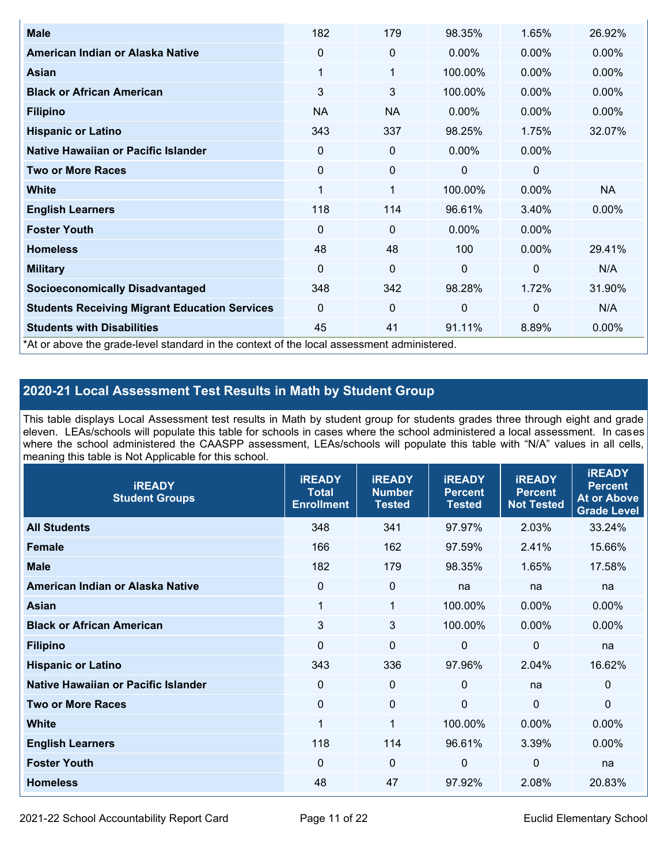| <b>Male</b>                                                                                | 182         | 179         | 98.35%       | 1.65%       | 26.92%    |
|--------------------------------------------------------------------------------------------|-------------|-------------|--------------|-------------|-----------|
| American Indian or Alaska Native                                                           | $\Omega$    | 0           | $0.00\%$     | $0.00\%$    | $0.00\%$  |
| <b>Asian</b>                                                                               | 1           | 1           | 100.00%      | $0.00\%$    | 0.00%     |
| <b>Black or African American</b>                                                           | 3           | 3           | 100.00%      | $0.00\%$    | $0.00\%$  |
| <b>Filipino</b>                                                                            | <b>NA</b>   | <b>NA</b>   | $0.00\%$     | 0.00%       | 0.00%     |
| <b>Hispanic or Latino</b>                                                                  | 343         | 337         | 98.25%       | 1.75%       | 32.07%    |
| Native Hawaiian or Pacific Islander                                                        | 0           | 0           | $0.00\%$     | 0.00%       |           |
| <b>Two or More Races</b>                                                                   | $\mathbf 0$ | 0           | 0            | 0           |           |
| White                                                                                      | 1           | 1           | 100.00%      | $0.00\%$    | <b>NA</b> |
| <b>English Learners</b>                                                                    | 118         | 114         | 96.61%       | 3.40%       | $0.00\%$  |
| <b>Foster Youth</b>                                                                        | $\Omega$    | 0           | $0.00\%$     | $0.00\%$    |           |
| <b>Homeless</b>                                                                            | 48          | 48          | 100          | $0.00\%$    | 29.41%    |
| <b>Military</b>                                                                            | $\Omega$    | $\mathbf 0$ | $\mathbf{0}$ | $\mathbf 0$ | N/A       |
| <b>Socioeconomically Disadvantaged</b>                                                     | 348         | 342         | 98.28%       | 1.72%       | 31.90%    |
| <b>Students Receiving Migrant Education Services</b>                                       | $\Omega$    | 0           | 0            | $\mathbf 0$ | N/A       |
| <b>Students with Disabilities</b>                                                          | 45          | 41          | 91.11%       | 8.89%       | 0.00%     |
| *At or above the grade-level standard in the context of the local assessment administered. |             |             |              |             |           |

# **2020-21 Local Assessment Test Results in Math by Student Group**

This table displays Local Assessment test results in Math by student group for students grades three through eight and grade eleven. LEAs/schools will populate this table for schools in cases where the school administered a local assessment. In cases where the school administered the CAASPP assessment, LEAs/schools will populate this table with "N/A" values in all cells, meaning this table is Not Applicable for this school.

| <b>iREADY</b><br><b>Student Groups</b> | <b>IREADY</b><br><b>Total</b><br><b>Enrollment</b> | <b>iREADY</b><br><b>Number</b><br><b>Tested</b> | <b>iREADY</b><br><b>Percent</b><br><b>Tested</b> | <b>IREADY</b><br><b>Percent</b><br><b>Not Tested</b> | <b>IREADY</b><br><b>Percent</b><br><b>At or Above</b><br><b>Grade Level</b> |
|----------------------------------------|----------------------------------------------------|-------------------------------------------------|--------------------------------------------------|------------------------------------------------------|-----------------------------------------------------------------------------|
| <b>All Students</b>                    | 348                                                | 341                                             | 97.97%                                           | 2.03%                                                | 33.24%                                                                      |
| <b>Female</b>                          | 166                                                | 162                                             | 97.59%                                           | 2.41%                                                | 15.66%                                                                      |
| <b>Male</b>                            | 182                                                | 179                                             | 98.35%                                           | 1.65%                                                | 17.58%                                                                      |
| American Indian or Alaska Native       | 0                                                  | $\boldsymbol{0}$                                | na                                               | na                                                   | na                                                                          |
| Asian                                  | $\mathbf 1$                                        | $\mathbf{1}$                                    | 100.00%                                          | 0.00%                                                | 0.00%                                                                       |
| <b>Black or African American</b>       | 3                                                  | 3                                               | 100.00%                                          | 0.00%                                                | $0.00\%$                                                                    |
| <b>Filipino</b>                        | $\mathbf 0$                                        | $\mathbf 0$                                     | $\mathbf{0}$                                     | $\overline{0}$                                       | na                                                                          |
| <b>Hispanic or Latino</b>              | 343                                                | 336                                             | 97.96%                                           | 2.04%                                                | 16.62%                                                                      |
| Native Hawaiian or Pacific Islander    | $\mathbf 0$                                        | $\mathbf 0$                                     | $\mathbf{0}$                                     | na                                                   | 0                                                                           |
| <b>Two or More Races</b>               | $\Omega$                                           | $\mathbf 0$                                     | $\mathbf{0}$                                     | $\overline{0}$                                       | $\Omega$                                                                    |
| <b>White</b>                           | 1                                                  | 1                                               | 100.00%                                          | 0.00%                                                | $0.00\%$                                                                    |
| <b>English Learners</b>                | 118                                                | 114                                             | 96.61%                                           | 3.39%                                                | 0.00%                                                                       |
| <b>Foster Youth</b>                    | $\Omega$                                           | $\mathbf 0$                                     | $\Omega$                                         | $\mathbf 0$                                          | na                                                                          |
| <b>Homeless</b>                        | 48                                                 | 47                                              | 97.92%                                           | 2.08%                                                | 20.83%                                                                      |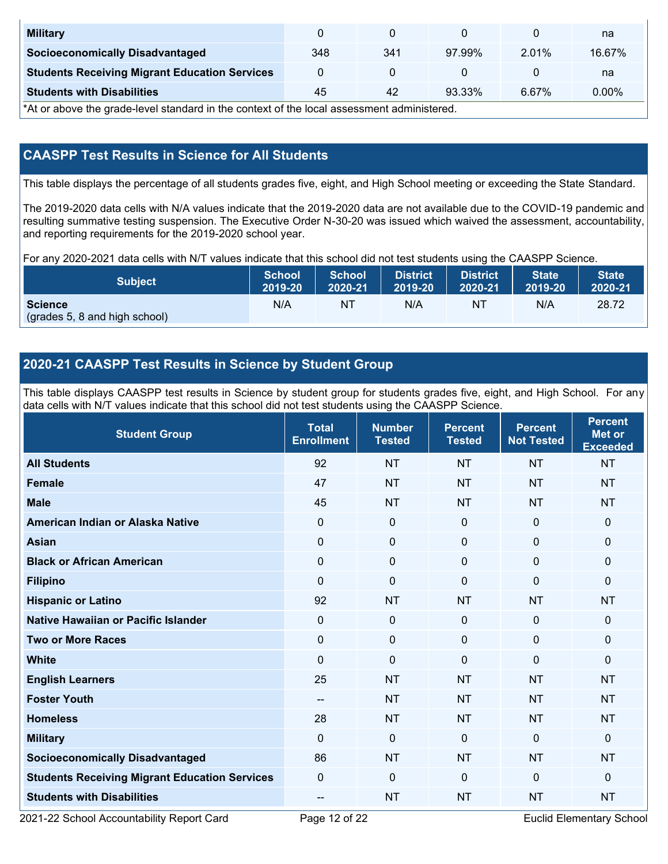| <b>Military</b>                                      |     |     |        |          | na       |
|------------------------------------------------------|-----|-----|--------|----------|----------|
| <b>Socioeconomically Disadvantaged</b>               | 348 | 341 | 97.99% | $2.01\%$ | 16.67%   |
| <b>Students Receiving Migrant Education Services</b> |     |     |        |          | na       |
| <b>Students with Disabilities</b>                    | 45  | 42  | 93.33% | 6.67%    | $0.00\%$ |

\*At or above the grade-level standard in the context of the local assessment administered.

# **CAASPP Test Results in Science for All Students**

This table displays the percentage of all students grades five, eight, and High School meeting or exceeding the State Standard.

The 2019-2020 data cells with N/A values indicate that the 2019-2020 data are not available due to the COVID-19 pandemic and resulting summative testing suspension. The Executive Order N-30-20 was issued which waived the assessment, accountability, and reporting requirements for the 2019-2020 school year.

For any 2020-2021 data cells with N/T values indicate that this school did not test students using the CAASPP Science.

| <b>Subject</b>                                  | <b>School</b> | <b>School</b> | <b>District</b> | <b>District</b> | <b>State</b> | <b>State</b> |
|-------------------------------------------------|---------------|---------------|-----------------|-----------------|--------------|--------------|
|                                                 | 2019-20       | 2020-21       | 2019-20         | 2020-21         | 2019-20      | 2020-21      |
| <b>Science</b><br>(grades 5, 8 and high school) | N/A           | ΝT            | N/A             | N1              | N/A          | 28.72        |

# **2020-21 CAASPP Test Results in Science by Student Group**

This table displays CAASPP test results in Science by student group for students grades five, eight, and High School. For any data cells with N/T values indicate that this school did not test students using the CAASPP Science.

| <b>Student Group</b>                                 | <b>Total</b><br><b>Enrollment</b> | <b>Number</b><br><b>Tested</b> | <b>Percent</b><br><b>Tested</b> | <b>Percent</b><br><b>Not Tested</b> | <b>Percent</b><br><b>Met or</b><br><b>Exceeded</b> |
|------------------------------------------------------|-----------------------------------|--------------------------------|---------------------------------|-------------------------------------|----------------------------------------------------|
| <b>All Students</b>                                  | 92                                | <b>NT</b>                      | <b>NT</b>                       | <b>NT</b>                           | <b>NT</b>                                          |
| <b>Female</b>                                        | 47                                | <b>NT</b>                      | <b>NT</b>                       | <b>NT</b>                           | <b>NT</b>                                          |
| <b>Male</b>                                          | 45                                | <b>NT</b>                      | <b>NT</b>                       | <b>NT</b>                           | <b>NT</b>                                          |
| American Indian or Alaska Native                     | $\mathbf{0}$                      | $\boldsymbol{0}$               | $\mathbf{0}$                    | $\overline{0}$                      | 0                                                  |
| <b>Asian</b>                                         | $\mathbf 0$                       | $\pmb{0}$                      | $\mathbf{0}$                    | $\mathbf 0$                         | 0                                                  |
| <b>Black or African American</b>                     | $\mathbf{0}$                      | $\mathbf 0$                    | $\mathbf{0}$                    | $\mathbf{0}$                        | 0                                                  |
| <b>Filipino</b>                                      | $\Omega$                          | $\mathbf 0$                    | $\Omega$                        | $\mathbf{0}$                        | 0                                                  |
| <b>Hispanic or Latino</b>                            | 92                                | <b>NT</b>                      | <b>NT</b>                       | <b>NT</b>                           | <b>NT</b>                                          |
| <b>Native Hawaiian or Pacific Islander</b>           | $\mathbf 0$                       | $\mathbf 0$                    | $\mathbf 0$                     | $\mathbf 0$                         | 0                                                  |
| <b>Two or More Races</b>                             | $\Omega$                          | $\boldsymbol{0}$               | $\mathbf{0}$                    | $\mathbf{0}$                        | 0                                                  |
| <b>White</b>                                         | $\mathbf{0}$                      | $\mathbf 0$                    | $\mathbf 0$                     | $\mathbf 0$                         | 0                                                  |
| <b>English Learners</b>                              | 25                                | <b>NT</b>                      | <b>NT</b>                       | <b>NT</b>                           | <b>NT</b>                                          |
| <b>Foster Youth</b>                                  | $-$                               | <b>NT</b>                      | <b>NT</b>                       | <b>NT</b>                           | <b>NT</b>                                          |
| <b>Homeless</b>                                      | 28                                | <b>NT</b>                      | <b>NT</b>                       | <b>NT</b>                           | <b>NT</b>                                          |
| <b>Military</b>                                      | $\Omega$                          | $\mathbf 0$                    | $\mathbf{0}$                    | $\mathbf{0}$                        | 0                                                  |
| <b>Socioeconomically Disadvantaged</b>               | 86                                | <b>NT</b>                      | <b>NT</b>                       | <b>NT</b>                           | <b>NT</b>                                          |
| <b>Students Receiving Migrant Education Services</b> | $\mathbf{0}$                      | $\mathbf 0$                    | $\mathbf 0$                     | $\mathbf{0}$                        | 0                                                  |
| <b>Students with Disabilities</b>                    | --                                | <b>NT</b>                      | <b>NT</b>                       | <b>NT</b>                           | <b>NT</b>                                          |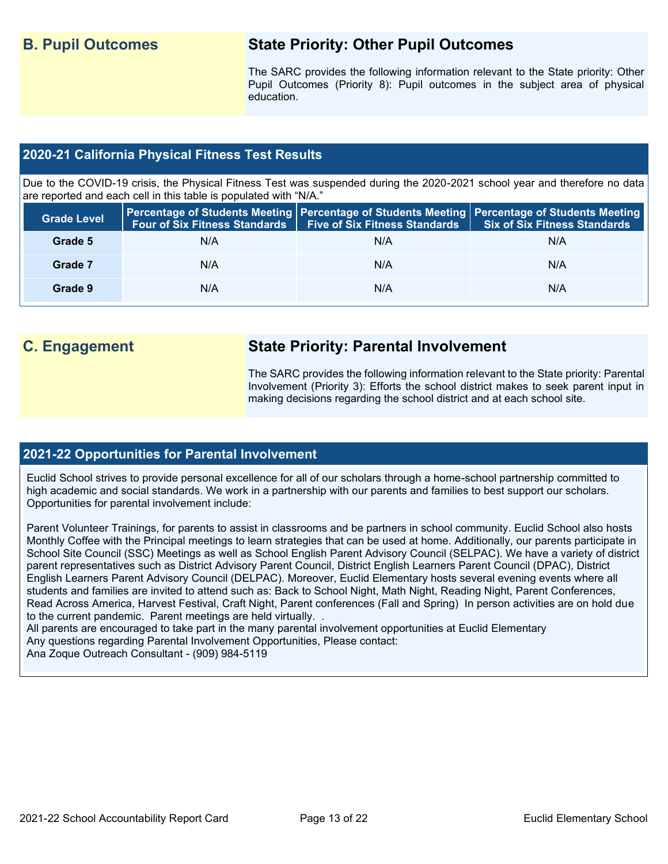# **B. Pupil Outcomes State Priority: Other Pupil Outcomes**

The SARC provides the following information relevant to the State priority: Other Pupil Outcomes (Priority 8): Pupil outcomes in the subject area of physical education.

# **2020-21 California Physical Fitness Test Results**

Due to the COVID-19 crisis, the Physical Fitness Test was suspended during the 2020-2021 school year and therefore no data are reported and each cell in this table is populated with "N/A."

| <b>Grade Level</b> |     | Four of Six Fitness Standards   Five of Six Fitness Standards | <b>Percentage of Students Meeting   Percentage of Students Meeting   Percentage of Students Meeting  </b><br><b>Six of Six Fitness Standards</b> |
|--------------------|-----|---------------------------------------------------------------|--------------------------------------------------------------------------------------------------------------------------------------------------|
| Grade 5            | N/A | N/A                                                           | N/A                                                                                                                                              |
| Grade 7            | N/A | N/A                                                           | N/A                                                                                                                                              |
| Grade 9            | N/A | N/A                                                           | N/A                                                                                                                                              |

# **C. Engagement State Priority: Parental Involvement**

The SARC provides the following information relevant to the State priority: Parental Involvement (Priority 3): Efforts the school district makes to seek parent input in making decisions regarding the school district and at each school site.

## **2021-22 Opportunities for Parental Involvement**

Euclid School strives to provide personal excellence for all of our scholars through a home-school partnership committed to high academic and social standards. We work in a partnership with our parents and families to best support our scholars. Opportunities for parental involvement include:

Parent Volunteer Trainings, for parents to assist in classrooms and be partners in school community. Euclid School also hosts Monthly Coffee with the Principal meetings to learn strategies that can be used at home. Additionally, our parents participate in School Site Council (SSC) Meetings as well as School English Parent Advisory Council (SELPAC). We have a variety of district parent representatives such as District Advisory Parent Council, District English Learners Parent Council (DPAC), District English Learners Parent Advisory Council (DELPAC). Moreover, Euclid Elementary hosts several evening events where all students and families are invited to attend such as: Back to School Night, Math Night, Reading Night, Parent Conferences, Read Across America, Harvest Festival, Craft Night, Parent conferences (Fall and Spring) In person activities are on hold due to the current pandemic. Parent meetings are held virtually. .

All parents are encouraged to take part in the many parental involvement opportunities at Euclid Elementary Any questions regarding Parental Involvement Opportunities, Please contact: Ana Zoque Outreach Consultant - (909) 984-5119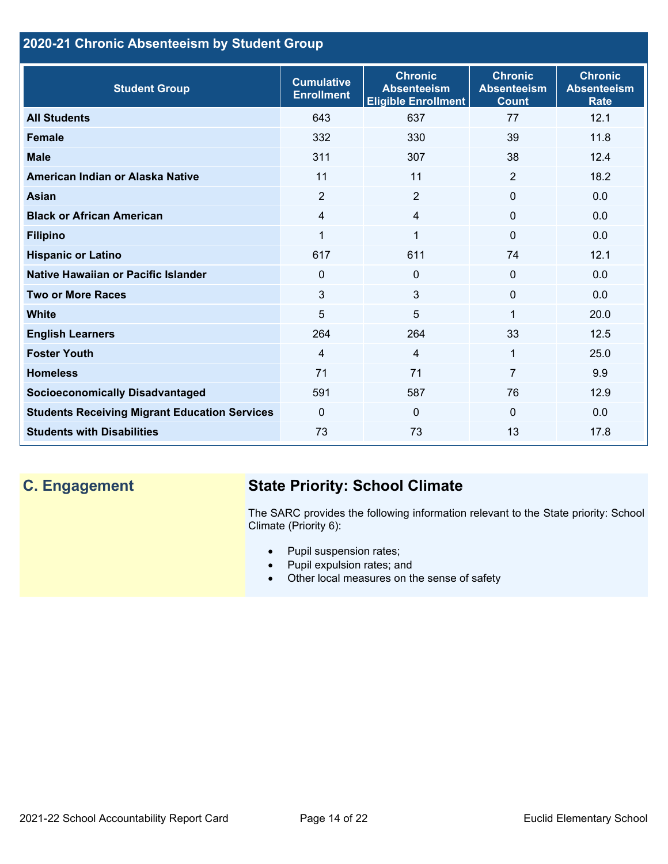# **2020-21 Chronic Absenteeism by Student Group**

| <b>Student Group</b>                                 | <b>Cumulative</b><br><b>Enrollment</b> | <b>Chronic</b><br><b>Absenteeism</b><br><b>Eligible Enrollment</b> | <b>Chronic</b><br><b>Absenteeism</b><br><b>Count</b> | <b>Chronic</b><br><b>Absenteeism</b><br><b>Rate</b> |
|------------------------------------------------------|----------------------------------------|--------------------------------------------------------------------|------------------------------------------------------|-----------------------------------------------------|
| <b>All Students</b>                                  | 643                                    | 637                                                                | 77                                                   | 12.1                                                |
| <b>Female</b>                                        | 332                                    | 330                                                                | 39                                                   | 11.8                                                |
| <b>Male</b>                                          | 311                                    | 307                                                                | 38                                                   | 12.4                                                |
| American Indian or Alaska Native                     | 11                                     | 11                                                                 | 2                                                    | 18.2                                                |
| <b>Asian</b>                                         | $\overline{2}$                         | $\overline{2}$                                                     | $\mathbf{0}$                                         | 0.0                                                 |
| <b>Black or African American</b>                     | 4                                      | $\overline{4}$                                                     | $\mathbf{0}$                                         | 0.0                                                 |
| <b>Filipino</b>                                      | 1                                      | $\mathbf 1$                                                        | $\mathbf{0}$                                         | 0.0                                                 |
| <b>Hispanic or Latino</b>                            | 617                                    | 611                                                                | 74                                                   | 12.1                                                |
| Native Hawaiian or Pacific Islander                  | 0                                      | $\mathbf 0$                                                        | $\mathbf 0$                                          | 0.0                                                 |
| <b>Two or More Races</b>                             | 3                                      | 3                                                                  | $\mathbf{0}$                                         | 0.0                                                 |
| <b>White</b>                                         | 5                                      | 5                                                                  | 1                                                    | 20.0                                                |
| <b>English Learners</b>                              | 264                                    | 264                                                                | 33                                                   | 12.5                                                |
| <b>Foster Youth</b>                                  | $\overline{4}$                         | $\overline{4}$                                                     | 1                                                    | 25.0                                                |
| <b>Homeless</b>                                      | 71                                     | 71                                                                 | $\overline{7}$                                       | 9.9                                                 |
| <b>Socioeconomically Disadvantaged</b>               | 591                                    | 587                                                                | 76                                                   | 12.9                                                |
| <b>Students Receiving Migrant Education Services</b> | $\mathbf{0}$                           | $\Omega$                                                           | $\Omega$                                             | 0.0                                                 |
| <b>Students with Disabilities</b>                    | 73                                     | 73                                                                 | 13                                                   | 17.8                                                |

# **C. Engagement State Priority: School Climate**

The SARC provides the following information relevant to the State priority: School Climate (Priority 6):

- Pupil suspension rates;
- Pupil expulsion rates; and
- Other local measures on the sense of safety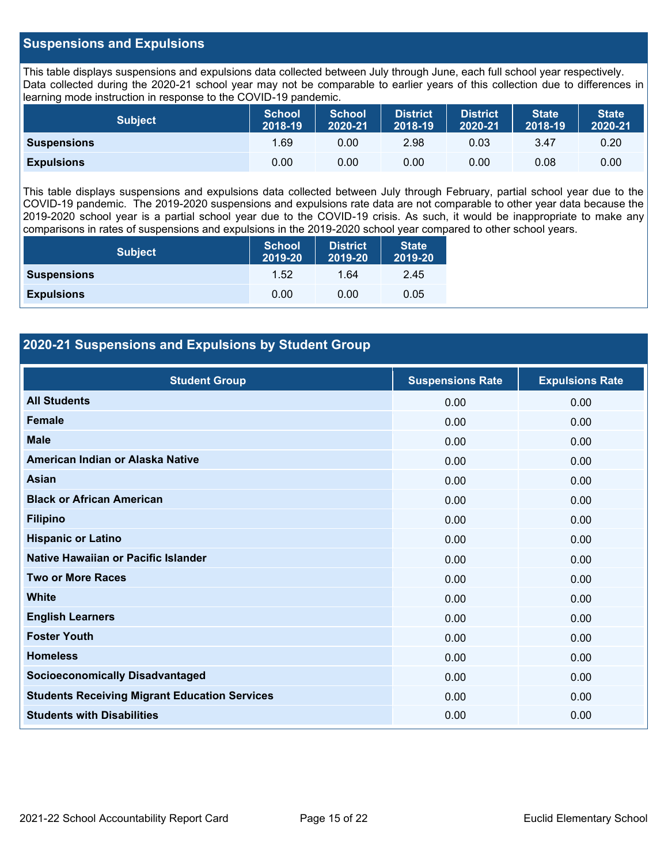### **Suspensions and Expulsions**

This table displays suspensions and expulsions data collected between July through June, each full school year respectively. Data collected during the 2020-21 school year may not be comparable to earlier years of this collection due to differences in learning mode instruction in response to the COVID-19 pandemic.

| <b>Subject</b>     | <b>School</b><br>2018-19 | <b>School</b><br>2020-21 | <b>District</b><br>2018-19 | <b>District</b><br>2020-21 | <b>State</b><br>2018-19 | <b>State</b><br>2020-21 |
|--------------------|--------------------------|--------------------------|----------------------------|----------------------------|-------------------------|-------------------------|
| <b>Suspensions</b> | 1.69                     | 0.00                     | 2.98                       | 0.03                       | 3.47                    | 0.20                    |
| <b>Expulsions</b>  | 0.00                     | 0.00                     | 0.00                       | 0.00                       | 0.08                    | 0.00                    |

This table displays suspensions and expulsions data collected between July through February, partial school year due to the COVID-19 pandemic. The 2019-2020 suspensions and expulsions rate data are not comparable to other year data because the 2019-2020 school year is a partial school year due to the COVID-19 crisis. As such, it would be inappropriate to make any comparisons in rates of suspensions and expulsions in the 2019-2020 school year compared to other school years.

| <b>Subject</b>     | School<br>2019-20 | <b>District</b><br>2019-20 | <b>State</b><br>2019-20 |
|--------------------|-------------------|----------------------------|-------------------------|
| <b>Suspensions</b> | 1.52              | 1.64                       | 2.45                    |
| <b>Expulsions</b>  | 0.00              | 0.00                       | 0.05                    |

## **2020-21 Suspensions and Expulsions by Student Group**

| <b>Student Group</b>                                 | <b>Suspensions Rate</b> | <b>Expulsions Rate</b> |
|------------------------------------------------------|-------------------------|------------------------|
| <b>All Students</b>                                  | 0.00                    | 0.00                   |
| <b>Female</b>                                        | 0.00                    | 0.00                   |
| <b>Male</b>                                          | 0.00                    | 0.00                   |
| American Indian or Alaska Native                     | 0.00                    | 0.00                   |
| <b>Asian</b>                                         | 0.00                    | 0.00                   |
| <b>Black or African American</b>                     | 0.00                    | 0.00                   |
| <b>Filipino</b>                                      | 0.00                    | 0.00                   |
| <b>Hispanic or Latino</b>                            | 0.00                    | 0.00                   |
| Native Hawaiian or Pacific Islander                  | 0.00                    | 0.00                   |
| <b>Two or More Races</b>                             | 0.00                    | 0.00                   |
| <b>White</b>                                         | 0.00                    | 0.00                   |
| <b>English Learners</b>                              | 0.00                    | 0.00                   |
| <b>Foster Youth</b>                                  | 0.00                    | 0.00                   |
| <b>Homeless</b>                                      | 0.00                    | 0.00                   |
| <b>Socioeconomically Disadvantaged</b>               | 0.00                    | 0.00                   |
| <b>Students Receiving Migrant Education Services</b> | 0.00                    | 0.00                   |
| <b>Students with Disabilities</b>                    | 0.00                    | 0.00                   |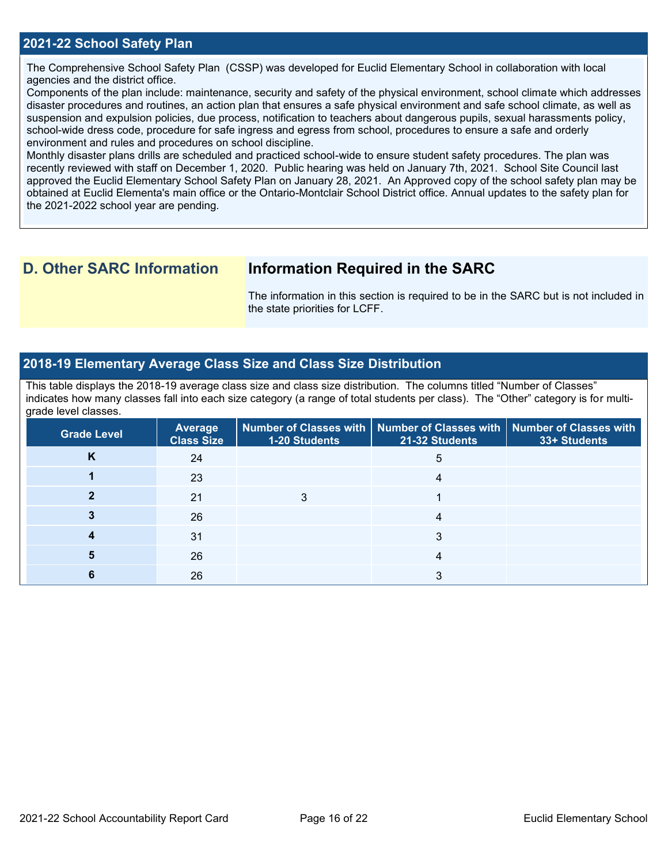The Comprehensive School Safety Plan (CSSP) was developed for Euclid Elementary School in collaboration with local agencies and the district office.

Components of the plan include: maintenance, security and safety of the physical environment, school climate which addresses disaster procedures and routines, an action plan that ensures a safe physical environment and safe school climate, as well as suspension and expulsion policies, due process, notification to teachers about dangerous pupils, sexual harassments policy, school-wide dress code, procedure for safe ingress and egress from school, procedures to ensure a safe and orderly environment and rules and procedures on school discipline.

Monthly disaster plans drills are scheduled and practiced school-wide to ensure student safety procedures. The plan was recently reviewed with staff on December 1, 2020. Public hearing was held on January 7th, 2021. School Site Council last approved the Euclid Elementary School Safety Plan on January 28, 2021. An Approved copy of the school safety plan may be obtained at Euclid Elementa's main office or the Ontario-Montclair School District office. Annual updates to the safety plan for the 2021-2022 school year are pending.

# **D. Other SARC Information Information Required in the SARC**

The information in this section is required to be in the SARC but is not included in the state priorities for LCFF.

### **2018-19 Elementary Average Class Size and Class Size Distribution**

This table displays the 2018-19 average class size and class size distribution. The columns titled "Number of Classes" indicates how many classes fall into each size category (a range of total students per class). The "Other" category is for multigrade level classes.

| <b>Grade Level</b> | <b>Average</b><br><b>Class Size</b> | 1-20 Students | Number of Classes with   Number of Classes with   Number of Classes with<br>21-32 Students | 33+ Students |
|--------------------|-------------------------------------|---------------|--------------------------------------------------------------------------------------------|--------------|
| Κ                  | 24                                  |               | 5                                                                                          |              |
|                    | 23                                  |               | 4                                                                                          |              |
|                    | 21                                  |               |                                                                                            |              |
|                    | 26                                  |               | 4                                                                                          |              |
|                    | 31                                  |               | 3                                                                                          |              |
|                    | 26                                  |               | 4                                                                                          |              |
|                    | 26                                  |               |                                                                                            |              |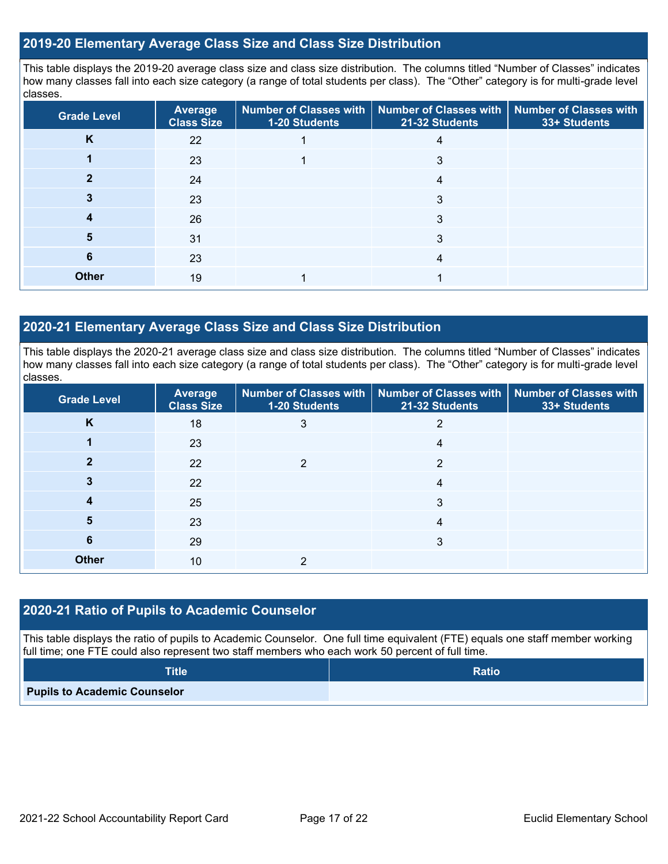### **2019-20 Elementary Average Class Size and Class Size Distribution**

This table displays the 2019-20 average class size and class size distribution. The columns titled "Number of Classes" indicates how many classes fall into each size category (a range of total students per class). The "Other" category is for multi-grade level classes.

| <b>Grade Level</b> | <b>Average</b><br><b>Class Size</b> | 1-20 Students | Number of Classes with   Number of Classes with  <br>21-32 Students | <b>Number of Classes with</b><br>33+ Students |
|--------------------|-------------------------------------|---------------|---------------------------------------------------------------------|-----------------------------------------------|
| K                  | 22                                  |               | 4                                                                   |                                               |
|                    | 23                                  |               | 3                                                                   |                                               |
|                    | 24                                  |               | 4                                                                   |                                               |
|                    | 23                                  |               | 3                                                                   |                                               |
| 4                  | 26                                  |               | 3                                                                   |                                               |
| 5                  | 31                                  |               | 3                                                                   |                                               |
| 6                  | 23                                  |               | 4                                                                   |                                               |
| <b>Other</b>       | 19                                  |               |                                                                     |                                               |

### **2020-21 Elementary Average Class Size and Class Size Distribution**

This table displays the 2020-21 average class size and class size distribution. The columns titled "Number of Classes" indicates how many classes fall into each size category (a range of total students per class). The "Other" category is for multi-grade level classes.

| <b>Grade Level</b> | <b>Average</b><br><b>Class Size</b> | 1-20 Students | Number of Classes with   Number of Classes with   Number of Classes with<br>21-32 Students | 33+ Students |
|--------------------|-------------------------------------|---------------|--------------------------------------------------------------------------------------------|--------------|
| K                  | 18                                  | 3             | 2                                                                                          |              |
|                    | 23                                  |               | 4                                                                                          |              |
|                    | 22                                  | 2             | 2                                                                                          |              |
|                    | 22                                  |               | 4                                                                                          |              |
|                    | 25                                  |               | 3                                                                                          |              |
| 5                  | 23                                  |               | 4                                                                                          |              |
| 6                  | 29                                  |               | 3                                                                                          |              |
| <b>Other</b>       | 10                                  | ≘             |                                                                                            |              |

### **2020-21 Ratio of Pupils to Academic Counselor**

This table displays the ratio of pupils to Academic Counselor. One full time equivalent (FTE) equals one staff member working full time; one FTE could also represent two staff members who each work 50 percent of full time.

| <b>Title</b>                        | <b>Ratio</b> |
|-------------------------------------|--------------|
| <b>Pupils to Academic Counselor</b> |              |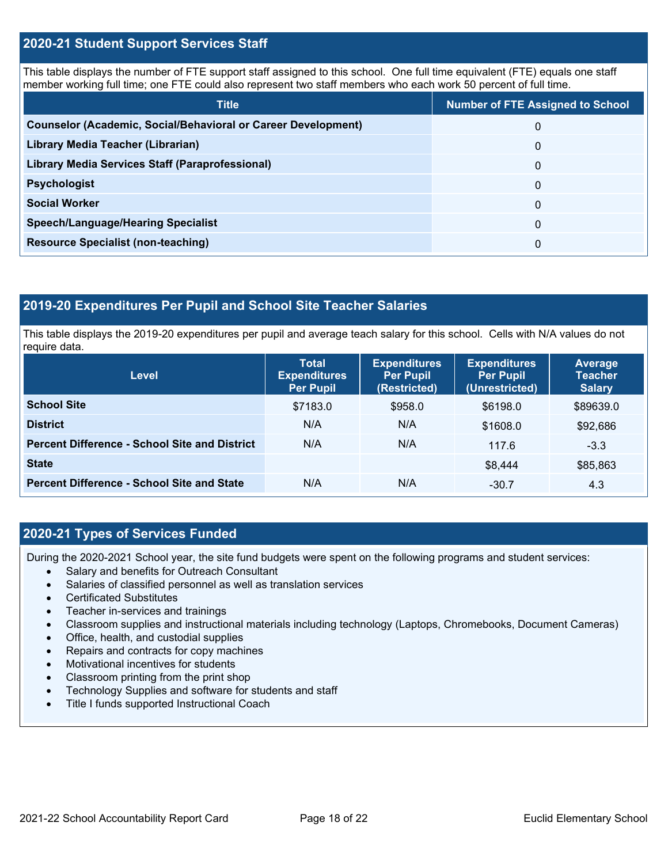### **2020-21 Student Support Services Staff**

This table displays the number of FTE support staff assigned to this school. One full time equivalent (FTE) equals one staff member working full time; one FTE could also represent two staff members who each work 50 percent of full time.

| <b>Title</b>                                                         | <b>Number of FTE Assigned to School</b> |
|----------------------------------------------------------------------|-----------------------------------------|
| <b>Counselor (Academic, Social/Behavioral or Career Development)</b> | 0                                       |
| Library Media Teacher (Librarian)                                    | 0                                       |
| Library Media Services Staff (Paraprofessional)                      | 0                                       |
| <b>Psychologist</b>                                                  | 0                                       |
| <b>Social Worker</b>                                                 | $\Omega$                                |
| <b>Speech/Language/Hearing Specialist</b>                            | 0                                       |
| <b>Resource Specialist (non-teaching)</b>                            | 0                                       |

### **2019-20 Expenditures Per Pupil and School Site Teacher Salaries**

This table displays the 2019-20 expenditures per pupil and average teach salary for this school. Cells with N/A values do not require data.

| Level                                                | <b>Total</b><br><b>Expenditures</b><br><b>Per Pupil</b> | <b>Expenditures</b><br><b>Per Pupil</b><br>(Restricted) | <b>Expenditures</b><br><b>Per Pupil</b><br>(Unrestricted) | <b>Average</b><br><b>Teacher</b><br><b>Salary</b> |
|------------------------------------------------------|---------------------------------------------------------|---------------------------------------------------------|-----------------------------------------------------------|---------------------------------------------------|
| <b>School Site</b>                                   | \$7183.0                                                | \$958.0                                                 | \$6198.0                                                  | \$89639.0                                         |
| <b>District</b>                                      | N/A                                                     | N/A                                                     | \$1608.0                                                  | \$92,686                                          |
| <b>Percent Difference - School Site and District</b> | N/A                                                     | N/A                                                     | 117.6                                                     | $-3.3$                                            |
| <b>State</b>                                         |                                                         |                                                         | \$8.444                                                   | \$85,863                                          |
| <b>Percent Difference - School Site and State</b>    | N/A                                                     | N/A                                                     | $-30.7$                                                   | 4.3                                               |

## **2020-21 Types of Services Funded**

During the 2020-2021 School year, the site fund budgets were spent on the following programs and student services:

- Salary and benefits for Outreach Consultant
- Salaries of classified personnel as well as translation services
- Certificated Substitutes
- Teacher in-services and trainings
- Classroom supplies and instructional materials including technology (Laptops, Chromebooks, Document Cameras)
- Office, health, and custodial supplies
- Repairs and contracts for copy machines
- Motivational incentives for students
- Classroom printing from the print shop
- Technology Supplies and software for students and staff
- Title I funds supported Instructional Coach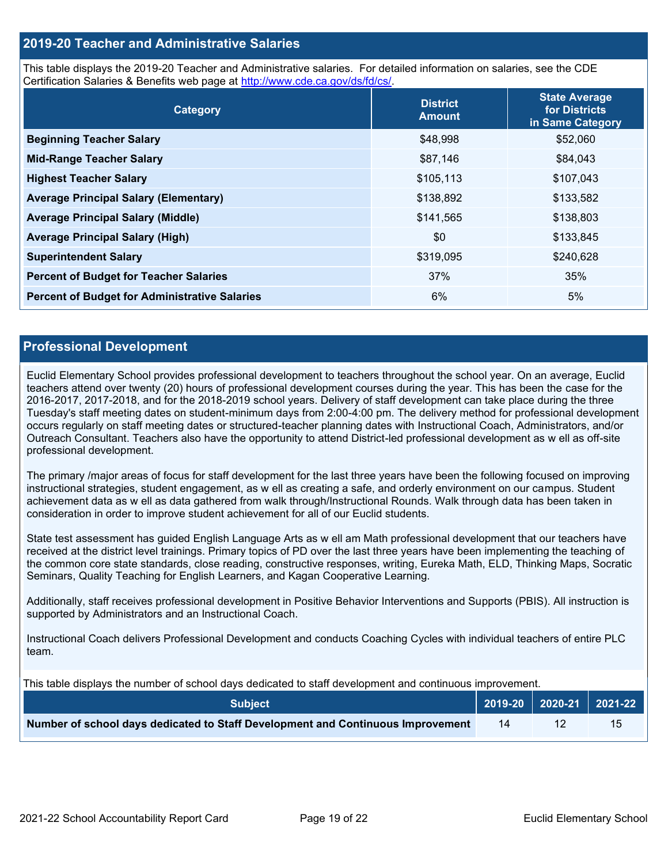### **2019-20 Teacher and Administrative Salaries**

This table displays the 2019-20 Teacher and Administrative salaries. For detailed information on salaries, see the CDE Certification Salaries & Benefits web page at [http://www.cde.ca.gov/ds/fd/cs/.](http://www.cde.ca.gov/ds/fd/cs/)

| Category                                             | <b>District</b><br><b>Amount</b> | <b>State Average</b><br>for Districts<br>in Same Category |
|------------------------------------------------------|----------------------------------|-----------------------------------------------------------|
| <b>Beginning Teacher Salary</b>                      | \$48,998                         | \$52,060                                                  |
| <b>Mid-Range Teacher Salary</b>                      | \$87,146                         | \$84,043                                                  |
| <b>Highest Teacher Salary</b>                        | \$105,113                        | \$107,043                                                 |
| <b>Average Principal Salary (Elementary)</b>         | \$138,892                        | \$133,582                                                 |
| <b>Average Principal Salary (Middle)</b>             | \$141,565                        | \$138,803                                                 |
| <b>Average Principal Salary (High)</b>               | \$0                              | \$133,845                                                 |
| <b>Superintendent Salary</b>                         | \$319,095                        | \$240,628                                                 |
| <b>Percent of Budget for Teacher Salaries</b>        | 37%                              | 35%                                                       |
| <b>Percent of Budget for Administrative Salaries</b> | 6%                               | 5%                                                        |

### **Professional Development**

Euclid Elementary School provides professional development to teachers throughout the school year. On an average, Euclid teachers attend over twenty (20) hours of professional development courses during the year. This has been the case for the 2016-2017, 2017-2018, and for the 2018-2019 school years. Delivery of staff development can take place during the three Tuesday's staff meeting dates on student-minimum days from 2:00-4:00 pm. The delivery method for professional development occurs regularly on staff meeting dates or structured-teacher planning dates with Instructional Coach, Administrators, and/or Outreach Consultant. Teachers also have the opportunity to attend District-led professional development as w ell as off-site professional development.

The primary /major areas of focus for staff development for the last three years have been the following focused on improving instructional strategies, student engagement, as w ell as creating a safe, and orderly environment on our campus. Student achievement data as w ell as data gathered from walk through/Instructional Rounds. Walk through data has been taken in consideration in order to improve student achievement for all of our Euclid students.

State test assessment has guided English Language Arts as w ell am Math professional development that our teachers have received at the district level trainings. Primary topics of PD over the last three years have been implementing the teaching of the common core state standards, close reading, constructive responses, writing, Eureka Math, ELD, Thinking Maps, Socratic Seminars, Quality Teaching for English Learners, and Kagan Cooperative Learning.

Additionally, staff receives professional development in Positive Behavior Interventions and Supports (PBIS). All instruction is supported by Administrators and an Instructional Coach.

Instructional Coach delivers Professional Development and conducts Coaching Cycles with individual teachers of entire PLC team.

This table displays the number of school days dedicated to staff development and continuous improvement.

| <b>Subject</b>                                                                  |    | $2019-20$ 2020-21 2021-22 |
|---------------------------------------------------------------------------------|----|---------------------------|
| Number of school days dedicated to Staff Development and Continuous Improvement | 14 |                           |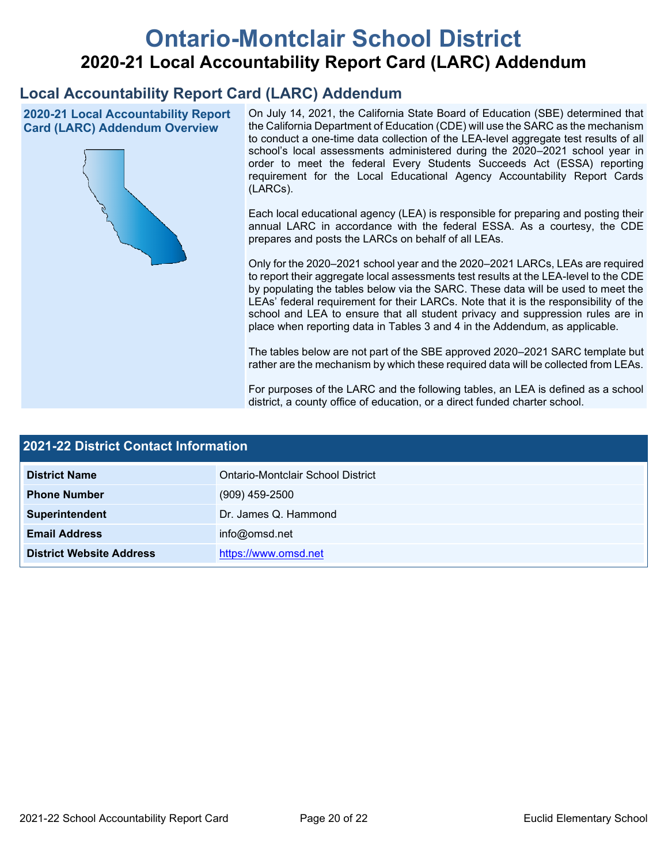# **Ontario-Montclair School District 2020-21 Local Accountability Report Card (LARC) Addendum**

# **Local Accountability Report Card (LARC) Addendum**

**2020-21 Local Accountability Report Card (LARC) Addendum Overview**



On July 14, 2021, the California State Board of Education (SBE) determined that the California Department of Education (CDE) will use the SARC as the mechanism to conduct a one-time data collection of the LEA-level aggregate test results of all school's local assessments administered during the 2020–2021 school year in order to meet the federal Every Students Succeeds Act (ESSA) reporting requirement for the Local Educational Agency Accountability Report Cards (LARCs).

Each local educational agency (LEA) is responsible for preparing and posting their annual LARC in accordance with the federal ESSA. As a courtesy, the CDE prepares and posts the LARCs on behalf of all LEAs.

Only for the 2020–2021 school year and the 2020–2021 LARCs, LEAs are required to report their aggregate local assessments test results at the LEA-level to the CDE by populating the tables below via the SARC. These data will be used to meet the LEAs' federal requirement for their LARCs. Note that it is the responsibility of the school and LEA to ensure that all student privacy and suppression rules are in place when reporting data in Tables 3 and 4 in the Addendum, as applicable.

The tables below are not part of the SBE approved 2020–2021 SARC template but rather are the mechanism by which these required data will be collected from LEAs.

For purposes of the LARC and the following tables, an LEA is defined as a school district, a county office of education, or a direct funded charter school.

| 2021-22 District Contact Information |                                   |  |  |  |
|--------------------------------------|-----------------------------------|--|--|--|
| <b>District Name</b>                 | Ontario-Montclair School District |  |  |  |
| <b>Phone Number</b>                  | $(909)$ 459-2500                  |  |  |  |
| Superintendent                       | Dr. James Q. Hammond              |  |  |  |
| <b>Email Address</b>                 | info@omsd.net                     |  |  |  |
| <b>District Website Address</b>      | https://www.omsd.net              |  |  |  |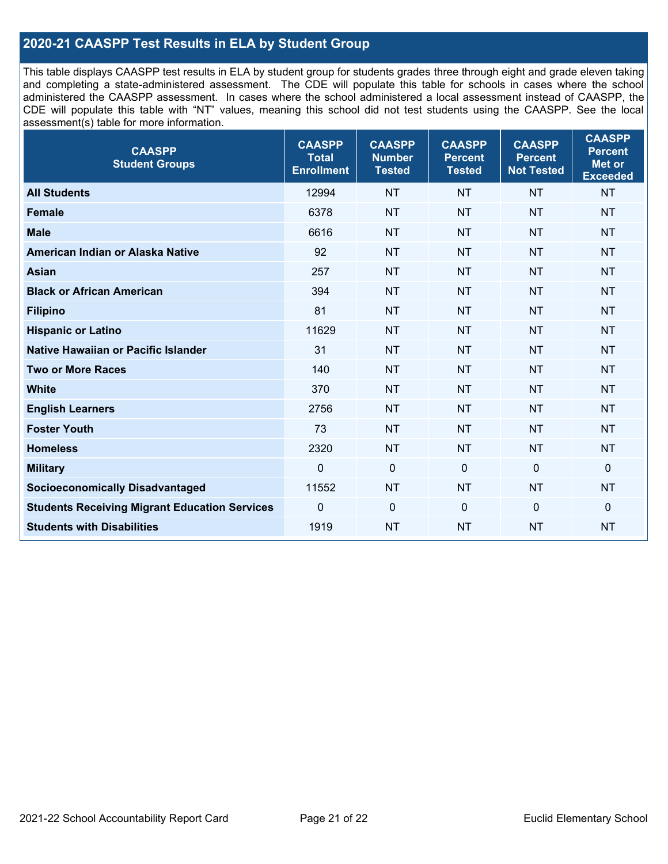# **2020-21 CAASPP Test Results in ELA by Student Group**

This table displays CAASPP test results in ELA by student group for students grades three through eight and grade eleven taking and completing a state-administered assessment. The CDE will populate this table for schools in cases where the school administered the CAASPP assessment. In cases where the school administered a local assessment instead of CAASPP, the CDE will populate this table with "NT" values, meaning this school did not test students using the CAASPP. See the local assessment(s) table for more information.

| <b>CAASPP</b><br><b>Student Groups</b>               | <b>CAASPP</b><br><b>Total</b><br><b>Enrollment</b> | <b>CAASPP</b><br><b>Number</b><br><b>Tested</b> | <b>CAASPP</b><br><b>Percent</b><br><b>Tested</b> | <b>CAASPP</b><br><b>Percent</b><br><b>Not Tested</b> | <b>CAASPP</b><br><b>Percent</b><br>Met or<br><b>Exceeded</b> |
|------------------------------------------------------|----------------------------------------------------|-------------------------------------------------|--------------------------------------------------|------------------------------------------------------|--------------------------------------------------------------|
| <b>All Students</b>                                  | 12994                                              | <b>NT</b>                                       | <b>NT</b>                                        | <b>NT</b>                                            | <b>NT</b>                                                    |
| <b>Female</b>                                        | 6378                                               | <b>NT</b>                                       | <b>NT</b>                                        | <b>NT</b>                                            | <b>NT</b>                                                    |
| <b>Male</b>                                          | 6616                                               | <b>NT</b>                                       | <b>NT</b>                                        | <b>NT</b>                                            | <b>NT</b>                                                    |
| American Indian or Alaska Native                     | 92                                                 | <b>NT</b>                                       | <b>NT</b>                                        | <b>NT</b>                                            | <b>NT</b>                                                    |
| <b>Asian</b>                                         | 257                                                | <b>NT</b>                                       | <b>NT</b>                                        | <b>NT</b>                                            | <b>NT</b>                                                    |
| <b>Black or African American</b>                     | 394                                                | <b>NT</b>                                       | <b>NT</b>                                        | <b>NT</b>                                            | <b>NT</b>                                                    |
| <b>Filipino</b>                                      | 81                                                 | <b>NT</b>                                       | <b>NT</b>                                        | <b>NT</b>                                            | <b>NT</b>                                                    |
| <b>Hispanic or Latino</b>                            | 11629                                              | <b>NT</b>                                       | <b>NT</b>                                        | <b>NT</b>                                            | <b>NT</b>                                                    |
| <b>Native Hawaiian or Pacific Islander</b>           | 31                                                 | <b>NT</b>                                       | <b>NT</b>                                        | <b>NT</b>                                            | <b>NT</b>                                                    |
| <b>Two or More Races</b>                             | 140                                                | <b>NT</b>                                       | <b>NT</b>                                        | <b>NT</b>                                            | <b>NT</b>                                                    |
| <b>White</b>                                         | 370                                                | <b>NT</b>                                       | <b>NT</b>                                        | <b>NT</b>                                            | <b>NT</b>                                                    |
| <b>English Learners</b>                              | 2756                                               | <b>NT</b>                                       | <b>NT</b>                                        | <b>NT</b>                                            | <b>NT</b>                                                    |
| <b>Foster Youth</b>                                  | 73                                                 | <b>NT</b>                                       | <b>NT</b>                                        | <b>NT</b>                                            | <b>NT</b>                                                    |
| <b>Homeless</b>                                      | 2320                                               | <b>NT</b>                                       | <b>NT</b>                                        | <b>NT</b>                                            | <b>NT</b>                                                    |
| <b>Military</b>                                      | $\mathbf 0$                                        | $\mathbf 0$                                     | $\mathbf 0$                                      | $\mathbf 0$                                          | 0                                                            |
| <b>Socioeconomically Disadvantaged</b>               | 11552                                              | <b>NT</b>                                       | <b>NT</b>                                        | <b>NT</b>                                            | <b>NT</b>                                                    |
| <b>Students Receiving Migrant Education Services</b> | 0                                                  | $\mathbf 0$                                     | $\mathbf{0}$                                     | $\mathbf 0$                                          | 0                                                            |
| <b>Students with Disabilities</b>                    | 1919                                               | <b>NT</b>                                       | <b>NT</b>                                        | <b>NT</b>                                            | <b>NT</b>                                                    |